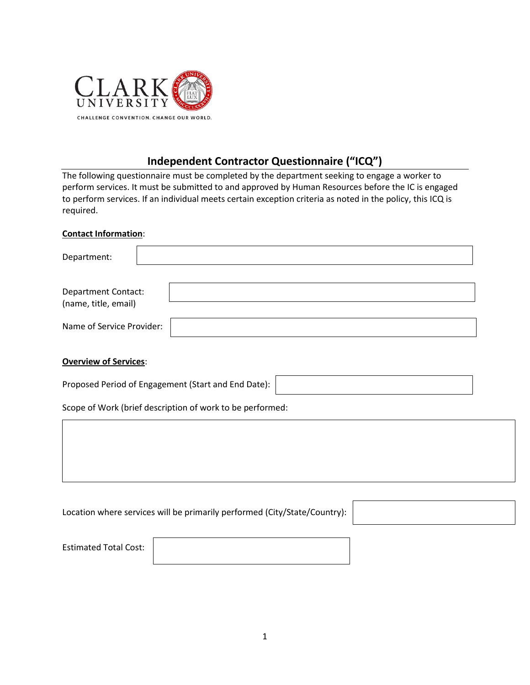

# **Independent Contractor Questionnaire ("ICQ")**

The following questionnaire must be completed by the department seeking to engage a worker to perform services. It must be submitted to and approved by Human Resources before the IC is engaged to perform services. If an individual meets certain exception criteria as noted in the policy, this ICQ is required.

#### **Contact Information**:

| Department:               |  |
|---------------------------|--|
|                           |  |
| Department Contact:       |  |
| (name, title, email)      |  |
| Name of Service Provider: |  |

### **Overview of Services**:

Proposed Period of Engagement (Start and End Date):

Scope of Work (brief description of work to be performed:

| Location where services will be primarily performed (City/State/Country): |  |
|---------------------------------------------------------------------------|--|
|---------------------------------------------------------------------------|--|

Estimated Total Cost: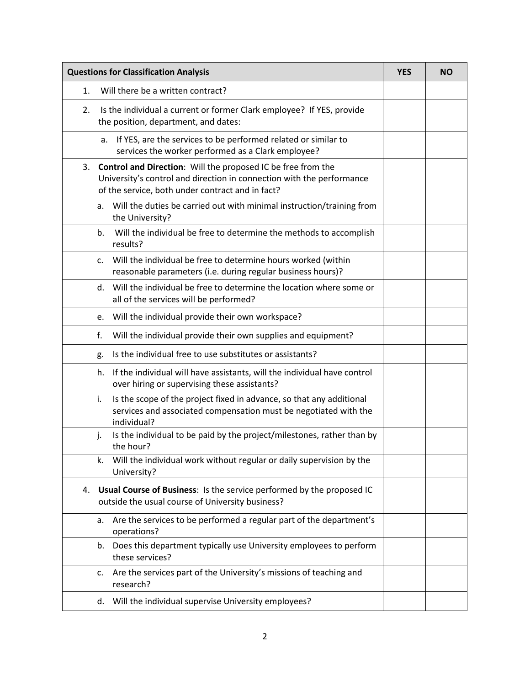| <b>Questions for Classification Analysis</b>                                                                                                                                                    | <b>YES</b> | <b>NO</b> |
|-------------------------------------------------------------------------------------------------------------------------------------------------------------------------------------------------|------------|-----------|
| Will there be a written contract?<br>1.                                                                                                                                                         |            |           |
| 2.<br>Is the individual a current or former Clark employee? If YES, provide<br>the position, department, and dates:                                                                             |            |           |
| If YES, are the services to be performed related or similar to<br>а.<br>services the worker performed as a Clark employee?                                                                      |            |           |
| Control and Direction: Will the proposed IC be free from the<br>3.<br>University's control and direction in connection with the performance<br>of the service, both under contract and in fact? |            |           |
| Will the duties be carried out with minimal instruction/training from<br>a.<br>the University?                                                                                                  |            |           |
| Will the individual be free to determine the methods to accomplish<br>b.<br>results?                                                                                                            |            |           |
| Will the individual be free to determine hours worked (within<br>$\mathsf{C}$ .<br>reasonable parameters (i.e. during regular business hours)?                                                  |            |           |
| d. Will the individual be free to determine the location where some or<br>all of the services will be performed?                                                                                |            |           |
| Will the individual provide their own workspace?<br>e.                                                                                                                                          |            |           |
| f.<br>Will the individual provide their own supplies and equipment?                                                                                                                             |            |           |
| Is the individual free to use substitutes or assistants?<br>g.                                                                                                                                  |            |           |
| If the individual will have assistants, will the individual have control<br>h.<br>over hiring or supervising these assistants?                                                                  |            |           |
| Is the scope of the project fixed in advance, so that any additional<br>i.<br>services and associated compensation must be negotiated with the<br>individual?                                   |            |           |
| Is the individual to be paid by the project/milestones, rather than by<br>j.<br>the hour?                                                                                                       |            |           |
| Will the individual work without regular or daily supervision by the<br>k.<br>University?                                                                                                       |            |           |
| Usual Course of Business: Is the service performed by the proposed IC<br>4.<br>outside the usual course of University business?                                                                 |            |           |
| Are the services to be performed a regular part of the department's<br>a.<br>operations?                                                                                                        |            |           |
| Does this department typically use University employees to perform<br>b.<br>these services?                                                                                                     |            |           |
| Are the services part of the University's missions of teaching and<br>c.<br>research?                                                                                                           |            |           |
| Will the individual supervise University employees?<br>d.                                                                                                                                       |            |           |